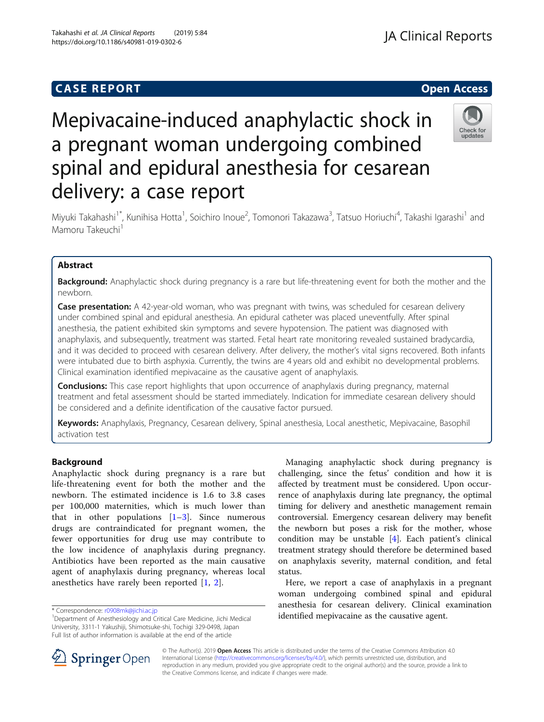# **CASE REPORT CASE REPORT CASE REPORT**

# Check for undates

# Mepivacaine-induced anaphylactic shock in a pregnant woman undergoing combined spinal and epidural anesthesia for cesarean delivery: a case report

Miyuki Takahashi<sup>1\*</sup>, Kunihisa Hotta<sup>1</sup>, Soichiro Inoue<sup>2</sup>, Tomonori Takazawa<sup>3</sup>, Tatsuo Horiuchi<sup>4</sup>, Takashi Igarashi<sup>1</sup> and Mamoru Takeuchi<sup>1</sup>

# Abstract

**Background:** Anaphylactic shock during pregnancy is a rare but life-threatening event for both the mother and the newborn.

Case presentation: A 42-year-old woman, who was pregnant with twins, was scheduled for cesarean delivery under combined spinal and epidural anesthesia. An epidural catheter was placed uneventfully. After spinal anesthesia, the patient exhibited skin symptoms and severe hypotension. The patient was diagnosed with anaphylaxis, and subsequently, treatment was started. Fetal heart rate monitoring revealed sustained bradycardia, and it was decided to proceed with cesarean delivery. After delivery, the mother's vital signs recovered. Both infants were intubated due to birth asphyxia. Currently, the twins are 4 years old and exhibit no developmental problems. Clinical examination identified mepivacaine as the causative agent of anaphylaxis.

**Conclusions:** This case report highlights that upon occurrence of anaphylaxis during pregnancy, maternal treatment and fetal assessment should be started immediately. Indication for immediate cesarean delivery should be considered and a definite identification of the causative factor pursued.

Keywords: Anaphylaxis, Pregnancy, Cesarean delivery, Spinal anesthesia, Local anesthetic, Mepivacaine, Basophil activation test

### Background

Anaphylactic shock during pregnancy is a rare but life-threatening event for both the mother and the newborn. The estimated incidence is 1.6 to 3.8 cases per 100,000 maternities, which is much lower than that in other populations  $[1-3]$  $[1-3]$  $[1-3]$  $[1-3]$ . Since numerous drugs are contraindicated for pregnant women, the fewer opportunities for drug use may contribute to the low incidence of anaphylaxis during pregnancy. Antibiotics have been reported as the main causative agent of anaphylaxis during pregnancy, whereas local anesthetics have rarely been reported [\[1](#page-3-0), [2](#page-3-0)].

Managing anaphylactic shock during pregnancy is challenging, since the fetus' condition and how it is affected by treatment must be considered. Upon occurrence of anaphylaxis during late pregnancy, the optimal timing for delivery and anesthetic management remain controversial. Emergency cesarean delivery may benefit the newborn but poses a risk for the mother, whose condition may be unstable [\[4](#page-3-0)]. Each patient's clinical treatment strategy should therefore be determined based on anaphylaxis severity, maternal condition, and fetal status.

Here, we report a case of anaphylaxis in a pregnant woman undergoing combined spinal and epidural anesthesia for cesarean delivery. Clinical examination identified mepivacaine as the causative agent.



© The Author(s). 2019 **Open Access** This article is distributed under the terms of the Creative Commons Attribution 4.0 International License ([http://creativecommons.org/licenses/by/4.0/\)](http://creativecommons.org/licenses/by/4.0/), which permits unrestricted use, distribution, and reproduction in any medium, provided you give appropriate credit to the original author(s) and the source, provide a link to the Creative Commons license, and indicate if changes were made.

<sup>\*</sup> Correspondence: [r0908mk@jichi.ac.jp](mailto:r0908mk@jichi.ac.jp) <sup>1</sup>

<sup>&</sup>lt;sup>1</sup>Department of Anesthesiology and Critical Care Medicine, Jichi Medical University, 3311-1 Yakushiji, Shimotsuke-shi, Tochigi 329-0498, Japan Full list of author information is available at the end of the article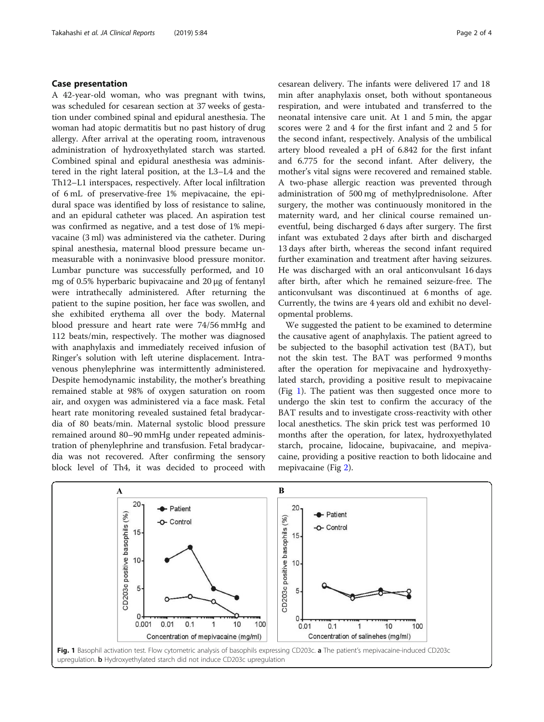#### Case presentation

A 42-year-old woman, who was pregnant with twins, was scheduled for cesarean section at 37 weeks of gestation under combined spinal and epidural anesthesia. The woman had atopic dermatitis but no past history of drug allergy. After arrival at the operating room, intravenous administration of hydroxyethylated starch was started. Combined spinal and epidural anesthesia was administered in the right lateral position, at the L3–L4 and the Th12–L1 interspaces, respectively. After local infiltration of 6 mL of preservative-free 1% mepivacaine, the epidural space was identified by loss of resistance to saline, and an epidural catheter was placed. An aspiration test was confirmed as negative, and a test dose of 1% mepivacaine (3 ml) was administered via the catheter. During spinal anesthesia, maternal blood pressure became unmeasurable with a noninvasive blood pressure monitor. Lumbar puncture was successfully performed, and 10 mg of 0.5% hyperbaric bupivacaine and 20 μg of fentanyl were intrathecally administered. After returning the patient to the supine position, her face was swollen, and she exhibited erythema all over the body. Maternal blood pressure and heart rate were 74/56 mmHg and 112 beats/min, respectively. The mother was diagnosed with anaphylaxis and immediately received infusion of Ringer's solution with left uterine displacement. Intravenous phenylephrine was intermittently administered. Despite hemodynamic instability, the mother's breathing remained stable at 98% of oxygen saturation on room air, and oxygen was administered via a face mask. Fetal heart rate monitoring revealed sustained fetal bradycardia of 80 beats/min. Maternal systolic blood pressure remained around 80–90 mmHg under repeated administration of phenylephrine and transfusion. Fetal bradycardia was not recovered. After confirming the sensory block level of Th4, it was decided to proceed with

cesarean delivery. The infants were delivered 17 and 18 min after anaphylaxis onset, both without spontaneous respiration, and were intubated and transferred to the neonatal intensive care unit. At 1 and 5 min, the apgar scores were 2 and 4 for the first infant and 2 and 5 for the second infant, respectively. Analysis of the umbilical artery blood revealed a pH of 6.842 for the first infant and 6.775 for the second infant. After delivery, the mother's vital signs were recovered and remained stable. A two-phase allergic reaction was prevented through administration of 500 mg of methylprednisolone. After surgery, the mother was continuously monitored in the maternity ward, and her clinical course remained uneventful, being discharged 6 days after surgery. The first infant was extubated 2 days after birth and discharged 13 days after birth, whereas the second infant required further examination and treatment after having seizures. He was discharged with an oral anticonvulsant 16 days after birth, after which he remained seizure-free. The anticonvulsant was discontinued at 6 months of age. Currently, the twins are 4 years old and exhibit no developmental problems.

We suggested the patient to be examined to determine the causative agent of anaphylaxis. The patient agreed to be subjected to the basophil activation test (BAT), but not the skin test. The BAT was performed 9 months after the operation for mepivacaine and hydroxyethylated starch, providing a positive result to mepivacaine (Fig 1). The patient was then suggested once more to undergo the skin test to confirm the accuracy of the BAT results and to investigate cross-reactivity with other local anesthetics. The skin prick test was performed 10 months after the operation, for latex, hydroxyethylated starch, procaine, lidocaine, bupivacaine, and mepivacaine, providing a positive reaction to both lidocaine and mepivacaine (Fig [2](#page-2-0)).

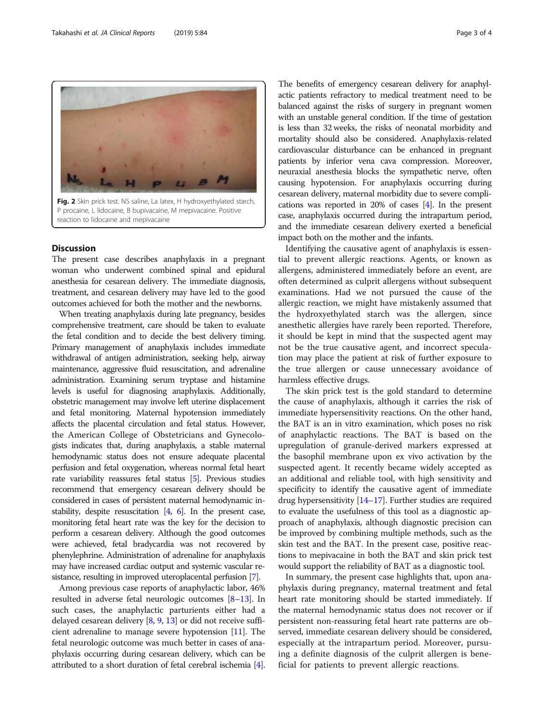<span id="page-2-0"></span>

Fig. 2 Skin prick test. NS saline, La latex, H hydroxyethylated starch, P procaine, L lidocaine, B bupivacaine, M mepivacaine. Positive reaction to lidocaine and mepivacaine

#### **Discussion**

The present case describes anaphylaxis in a pregnant woman who underwent combined spinal and epidural anesthesia for cesarean delivery. The immediate diagnosis, treatment, and cesarean delivery may have led to the good outcomes achieved for both the mother and the newborns.

When treating anaphylaxis during late pregnancy, besides comprehensive treatment, care should be taken to evaluate the fetal condition and to decide the best delivery timing. Primary management of anaphylaxis includes immediate withdrawal of antigen administration, seeking help, airway maintenance, aggressive fluid resuscitation, and adrenaline administration. Examining serum tryptase and histamine levels is useful for diagnosing anaphylaxis. Additionally, obstetric management may involve left uterine displacement and fetal monitoring. Maternal hypotension immediately affects the placental circulation and fetal status. However, the American College of Obstetricians and Gynecologists indicates that, during anaphylaxis, a stable maternal hemodynamic status does not ensure adequate placental perfusion and fetal oxygenation, whereas normal fetal heart rate variability reassures fetal status [\[5\]](#page-3-0). Previous studies recommend that emergency cesarean delivery should be considered in cases of persistent maternal hemodynamic instability, despite resuscitation [\[4,](#page-3-0) [6](#page-3-0)]. In the present case, monitoring fetal heart rate was the key for the decision to perform a cesarean delivery. Although the good outcomes were achieved, fetal bradycardia was not recovered by phenylephrine. Administration of adrenaline for anaphylaxis may have increased cardiac output and systemic vascular resistance, resulting in improved uteroplacental perfusion [[7](#page-3-0)].

Among previous case reports of anaphylactic labor, 46% resulted in adverse fetal neurologic outcomes [\[8](#page-3-0)–[13\]](#page-3-0). In such cases, the anaphylactic parturients either had a delayed cesarean delivery [[8,](#page-3-0) [9](#page-3-0), [13](#page-3-0)] or did not receive sufficient adrenaline to manage severe hypotension [\[11\]](#page-3-0). The fetal neurologic outcome was much better in cases of anaphylaxis occurring during cesarean delivery, which can be attributed to a short duration of fetal cerebral ischemia [[4](#page-3-0)].

The benefits of emergency cesarean delivery for anaphylactic patients refractory to medical treatment need to be balanced against the risks of surgery in pregnant women with an unstable general condition. If the time of gestation is less than 32 weeks, the risks of neonatal morbidity and mortality should also be considered. Anaphylaxis-related cardiovascular disturbance can be enhanced in pregnant patients by inferior vena cava compression. Moreover, neuraxial anesthesia blocks the sympathetic nerve, often causing hypotension. For anaphylaxis occurring during cesarean delivery, maternal morbidity due to severe complications was reported in 20% of cases [[4](#page-3-0)]. In the present case, anaphylaxis occurred during the intrapartum period, and the immediate cesarean delivery exerted a beneficial impact both on the mother and the infants.

Identifying the causative agent of anaphylaxis is essential to prevent allergic reactions. Agents, or known as allergens, administered immediately before an event, are often determined as culprit allergens without subsequent examinations. Had we not pursued the cause of the allergic reaction, we might have mistakenly assumed that the hydroxyethylated starch was the allergen, since anesthetic allergies have rarely been reported. Therefore, it should be kept in mind that the suspected agent may not be the true causative agent, and incorrect speculation may place the patient at risk of further exposure to the true allergen or cause unnecessary avoidance of harmless effective drugs.

The skin prick test is the gold standard to determine the cause of anaphylaxis, although it carries the risk of immediate hypersensitivity reactions. On the other hand, the BAT is an in vitro examination, which poses no risk of anaphylactic reactions. The BAT is based on the upregulation of granule-derived markers expressed at the basophil membrane upon ex vivo activation by the suspected agent. It recently became widely accepted as an additional and reliable tool, with high sensitivity and specificity to identify the causative agent of immediate drug hypersensitivity [[14](#page-3-0)–[17\]](#page-3-0). Further studies are required to evaluate the usefulness of this tool as a diagnostic approach of anaphylaxis, although diagnostic precision can be improved by combining multiple methods, such as the skin test and the BAT. In the present case, positive reactions to mepivacaine in both the BAT and skin prick test would support the reliability of BAT as a diagnostic tool.

In summary, the present case highlights that, upon anaphylaxis during pregnancy, maternal treatment and fetal heart rate monitoring should be started immediately. If the maternal hemodynamic status does not recover or if persistent non-reassuring fetal heart rate patterns are observed, immediate cesarean delivery should be considered, especially at the intrapartum period. Moreover, pursuing a definite diagnosis of the culprit allergen is beneficial for patients to prevent allergic reactions.